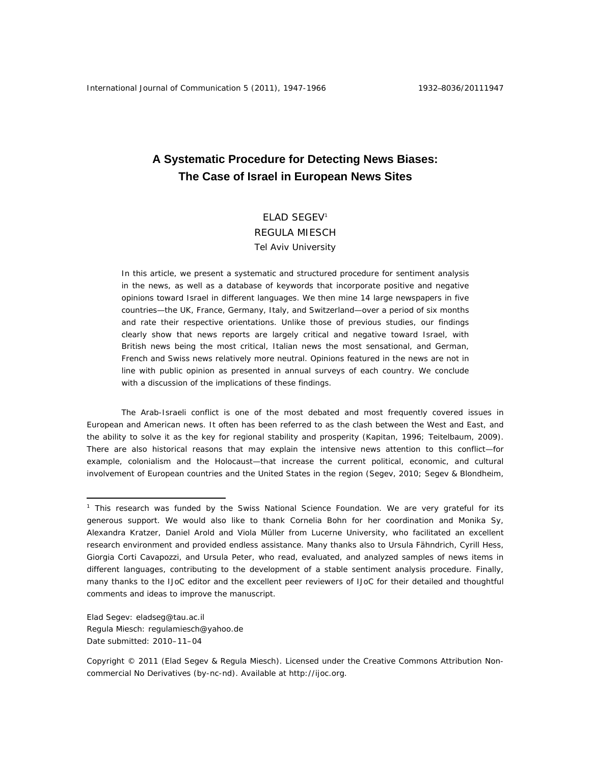# **A Systematic Procedure for Detecting News Biases: The Case of Israel in European News Sites**

## ELAD SEGEV1 REGULA MIESCH Tel Aviv University

In this article, we present a systematic and structured procedure for sentiment analysis in the news, as well as a database of keywords that incorporate positive and negative opinions toward Israel in different languages. We then mine 14 large newspapers in five countries—the UK, France, Germany, Italy, and Switzerland—over a period of six months and rate their respective orientations. Unlike those of previous studies, our findings clearly show that news reports are largely critical and negative toward Israel, with British news being the most critical, Italian news the most sensational, and German, French and Swiss news relatively more neutral. Opinions featured in the news are not in line with public opinion as presented in annual surveys of each country. We conclude with a discussion of the implications of these findings.

The Arab-Israeli conflict is one of the most debated and most frequently covered issues in European and American news. It often has been referred to as the clash between the West and East, and the ability to solve it as the key for regional stability and prosperity (Kapitan, 1996; Teitelbaum, 2009). There are also historical reasons that may explain the intensive news attention to this conflict—for example, colonialism and the Holocaust—that increase the current political, economic, and cultural involvement of European countries and the United States in the region (Segev, 2010; Segev & Blondheim,

Elad Segev: eladseg@tau.ac.il Regula Miesch: regulamiesch@yahoo.de Date submitted: 2010–11–04

 $\overline{a}$ 

<sup>&</sup>lt;sup>1</sup> This research was funded by the Swiss National Science Foundation. We are very grateful for its generous support. We would also like to thank Cornelia Bohn for her coordination and Monika Sy, Alexandra Kratzer, Daniel Arold and Viola Müller from Lucerne University, who facilitated an excellent research environment and provided endless assistance. Many thanks also to Ursula Fähndrich, Cyrill Hess, Giorgia Corti Cavapozzi, and Ursula Peter, who read, evaluated, and analyzed samples of news items in different languages, contributing to the development of a stable sentiment analysis procedure. Finally, many thanks to the *IJoC* editor and the excellent peer reviewers of *IJoC* for their detailed and thoughtful comments and ideas to improve the manuscript.

Copyright © 2011 (Elad Segev & Regula Miesch). Licensed under the Creative Commons Attribution Noncommercial No Derivatives (by-nc-nd). Available at http://ijoc.org.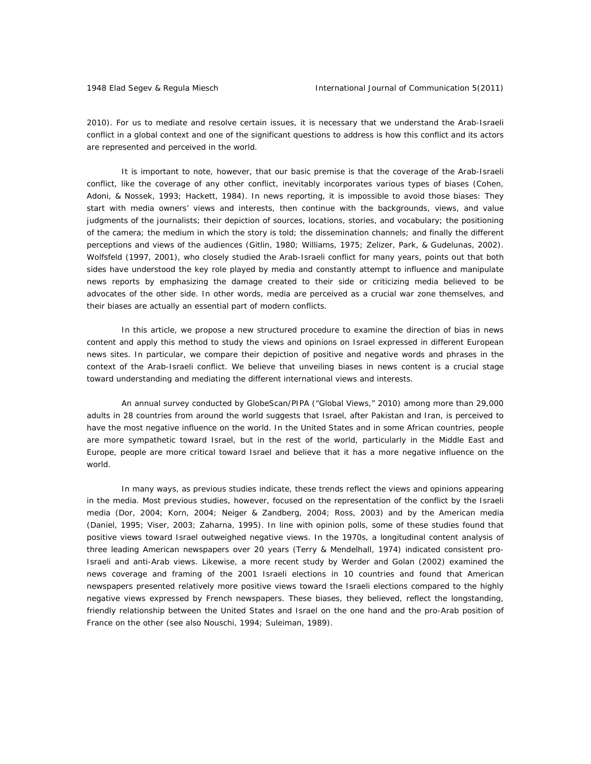2010). For us to mediate and resolve certain issues, it is necessary that we understand the Arab-Israeli conflict in a global context and one of the significant questions to address is how this conflict and its actors are represented and perceived in the world.

It is important to note, however, that our basic premise is that the coverage of the Arab-Israeli conflict, like the coverage of any other conflict, inevitably incorporates various types of biases (Cohen, Adoni, & Nossek, 1993; Hackett, 1984). In news reporting, it is impossible to avoid those biases: They start with media owners' views and interests, then continue with the backgrounds, views, and value judgments of the journalists; their depiction of sources, locations, stories, and vocabulary; the positioning of the camera; the medium in which the story is told; the dissemination channels; and finally the different perceptions and views of the audiences (Gitlin, 1980; Williams, 1975; Zelizer, Park, & Gudelunas, 2002). Wolfsfeld (1997, 2001), who closely studied the Arab-Israeli conflict for many years, points out that both sides have understood the key role played by media and constantly attempt to influence and manipulate news reports by emphasizing the damage created to their side or criticizing media believed to be advocates of the other side. In other words, media are perceived as a crucial war zone themselves, and their biases are actually an essential part of modern conflicts.

In this article, we propose a new structured procedure to examine the direction of bias in news content and apply this method to study the views and opinions on Israel expressed in different European news sites. In particular, we compare their depiction of positive and negative words and phrases in the context of the Arab-Israeli conflict. We believe that unveiling biases in news content is a crucial stage toward understanding and mediating the different international views and interests.

An annual survey conducted by GlobeScan/PIPA ("Global Views," 2010) among more than 29,000 adults in 28 countries from around the world suggests that Israel, after Pakistan and Iran, is perceived to have the most negative influence on the world. In the United States and in some African countries, people are more sympathetic toward Israel, but in the rest of the world, particularly in the Middle East and Europe, people are more critical toward Israel and believe that it has a more negative influence on the world.

In many ways, as previous studies indicate, these trends reflect the views and opinions appearing in the media. Most previous studies, however, focused on the representation of the conflict by the Israeli media (Dor, 2004; Korn, 2004; Neiger & Zandberg, 2004; Ross, 2003) and by the American media (Daniel, 1995; Viser, 2003; Zaharna, 1995). In line with opinion polls, some of these studies found that positive views toward Israel outweighed negative views. In the 1970s, a longitudinal content analysis of three leading American newspapers over 20 years (Terry & Mendelhall, 1974) indicated consistent pro-Israeli and anti-Arab views. Likewise, a more recent study by Werder and Golan (2002) examined the news coverage and framing of the 2001 Israeli elections in 10 countries and found that American newspapers presented relatively more positive views toward the Israeli elections compared to the highly negative views expressed by French newspapers. These biases, they believed, reflect the longstanding, friendly relationship between the United States and Israel on the one hand and the pro-Arab position of France on the other (see also Nouschi, 1994; Suleiman, 1989).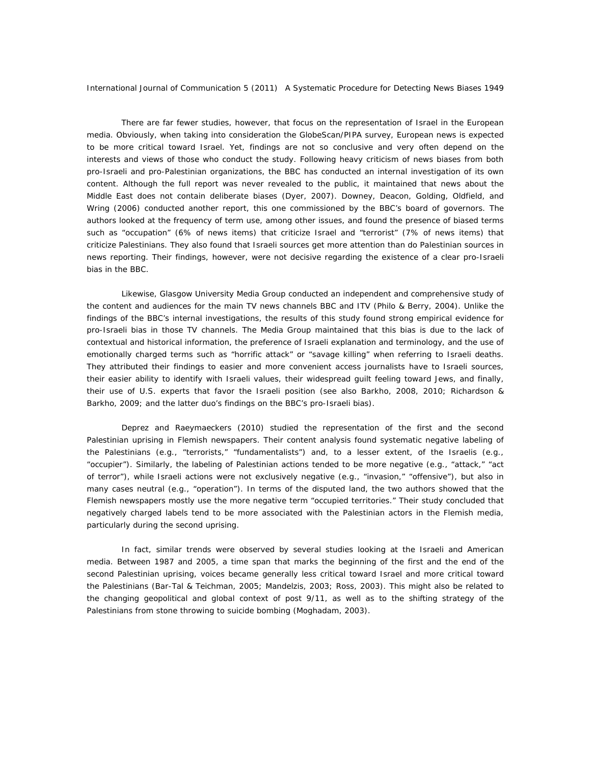There are far fewer studies, however, that focus on the representation of Israel in the European media. Obviously, when taking into consideration the GlobeScan/PIPA survey, European news is expected to be more critical toward Israel. Yet, findings are not so conclusive and very often depend on the interests and views of those who conduct the study. Following heavy criticism of news biases from both pro-Israeli and pro-Palestinian organizations, the BBC has conducted an internal investigation of its own content. Although the full report was never revealed to the public, it maintained that news about the Middle East does not contain deliberate biases (Dyer, 2007). Downey, Deacon, Golding, Oldfield, and Wring (2006) conducted another report, this one commissioned by the BBC's board of governors. The authors looked at the frequency of term use, among other issues, and found the presence of biased terms such as "occupation" (6% of news items) that criticize Israel and "terrorist" (7% of news items) that criticize Palestinians. They also found that Israeli sources get more attention than do Palestinian sources in news reporting. Their findings, however, were not decisive regarding the existence of a clear pro-Israeli bias in the BBC.

Likewise, Glasgow University Media Group conducted an independent and comprehensive study of the content and audiences for the main TV news channels BBC and ITV (Philo & Berry, 2004). Unlike the findings of the BBC's internal investigations, the results of this study found strong empirical evidence for pro-Israeli bias in those TV channels. The Media Group maintained that this bias is due to the lack of contextual and historical information, the preference of Israeli explanation and terminology, and the use of emotionally charged terms such as "horrific attack" or "savage killing" when referring to Israeli deaths. They attributed their findings to easier and more convenient access journalists have to Israeli sources, their easier ability to identify with Israeli values, their widespread guilt feeling toward Jews, and finally, their use of U.S. experts that favor the Israeli position (see also Barkho, 2008, 2010; Richardson & Barkho, 2009; and the latter duo's findings on the BBC's pro-Israeli bias).

Deprez and Raeymaeckers (2010) studied the representation of the first and the second Palestinian uprising in Flemish newspapers. Their content analysis found systematic negative labeling of the Palestinians (e.g., "terrorists," "fundamentalists") and, to a lesser extent, of the Israelis (e.g., "occupier"). Similarly, the labeling of Palestinian actions tended to be more negative (e.g., "attack," "act of terror"), while Israeli actions were not exclusively negative (e.g., "invasion," "offensive"), but also in many cases neutral (e.g., "operation"). In terms of the disputed land, the two authors showed that the Flemish newspapers mostly use the more negative term "occupied territories." Their study concluded that negatively charged labels tend to be more associated with the Palestinian actors in the Flemish media, particularly during the second uprising.

In fact, similar trends were observed by several studies looking at the Israeli and American media. Between 1987 and 2005, a time span that marks the beginning of the first and the end of the second Palestinian uprising, voices became generally less critical toward Israel and more critical toward the Palestinians (Bar-Tal & Teichman, 2005; Mandelzis, 2003; Ross, 2003). This might also be related to the changing geopolitical and global context of post 9/11, as well as to the shifting strategy of the Palestinians from stone throwing to suicide bombing (Moghadam, 2003).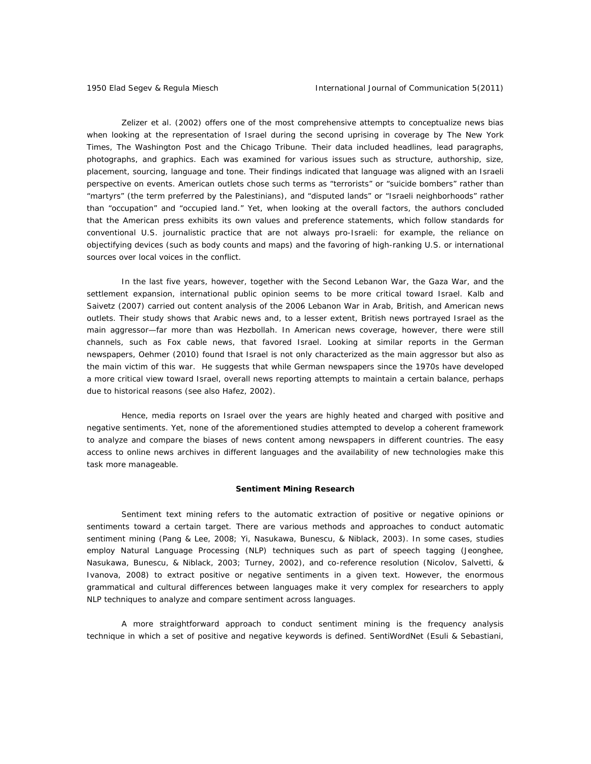Zelizer et al. (2002) offers one of the most comprehensive attempts to conceptualize news bias when looking at the representation of Israel during the second uprising in coverage by *The New York Times*, *The Washington Post* and the *Chicago Tribune*. Their data included headlines, lead paragraphs, photographs, and graphics. Each was examined for various issues such as structure, authorship, size, placement, sourcing, language and tone. Their findings indicated that language was aligned with an Israeli perspective on events. American outlets chose such terms as "terrorists" or "suicide bombers" rather than "martyrs" (the term preferred by the Palestinians), and "disputed lands" or "Israeli neighborhoods" rather than "occupation" and "occupied land." Yet, when looking at the overall factors, the authors concluded that the American press exhibits its own values and preference statements, which follow standards for conventional U.S. journalistic practice that are not always pro-Israeli: for example, the reliance on objectifying devices (such as body counts and maps) and the favoring of high-ranking U.S. or international sources over local voices in the conflict.

In the last five years, however, together with the Second Lebanon War, the Gaza War, and the settlement expansion, international public opinion seems to be more critical toward Israel. Kalb and Saivetz (2007) carried out content analysis of the 2006 Lebanon War in Arab, British, and American news outlets. Their study shows that Arabic news and, to a lesser extent, British news portrayed Israel as the main aggressor—far more than was Hezbollah. In American news coverage, however, there were still channels, such as Fox cable news, that favored Israel. Looking at similar reports in the German newspapers, Oehmer (2010) found that Israel is not only characterized as the main aggressor but also as the main victim of this war. He suggests that while German newspapers since the 1970s have developed a more critical view toward Israel, overall news reporting attempts to maintain a certain balance, perhaps due to historical reasons (see also Hafez, 2002).

Hence, media reports on Israel over the years are highly heated and charged with positive and negative sentiments. Yet, none of the aforementioned studies attempted to develop a coherent framework to analyze and compare the biases of news content among newspapers in different countries. The easy access to online news archives in different languages and the availability of new technologies make this task more manageable.

#### **Sentiment Mining Research**

Sentiment text mining refers to the automatic extraction of positive or negative opinions or sentiments toward a certain target. There are various methods and approaches to conduct automatic sentiment mining (Pang & Lee, 2008; Yi, Nasukawa, Bunescu, & Niblack, 2003). In some cases, studies employ Natural Language Processing (NLP) techniques such as part of speech tagging (Jeonghee, Nasukawa, Bunescu, & Niblack, 2003; Turney, 2002), and co-reference resolution (Nicolov, Salvetti, & Ivanova, 2008) to extract positive or negative sentiments in a given text. However, the enormous grammatical and cultural differences between languages make it very complex for researchers to apply NLP techniques to analyze and compare sentiment across languages.

A more straightforward approach to conduct sentiment mining is the frequency analysis technique in which a set of positive and negative keywords is defined. SentiWordNet (Esuli & Sebastiani,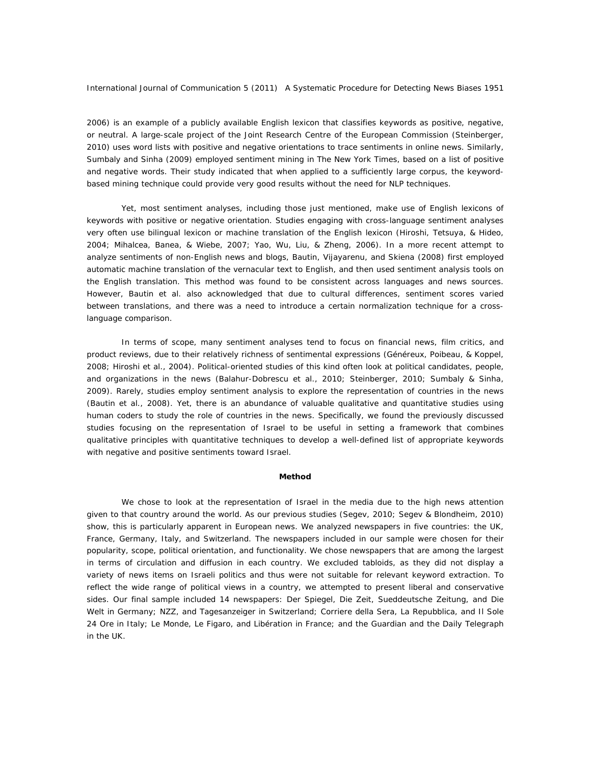2006) is an example of a publicly available English lexicon that classifies keywords as positive, negative, or neutral. A large-scale project of the Joint Research Centre of the European Commission (Steinberger, 2010) uses word lists with positive and negative orientations to trace sentiments in online news. Similarly, Sumbaly and Sinha (2009) employed sentiment mining in *The New York Times*, based on a list of positive and negative words. Their study indicated that when applied to a sufficiently large corpus, the keywordbased mining technique could provide very good results without the need for NLP techniques.

Yet, most sentiment analyses, including those just mentioned, make use of English lexicons of keywords with positive or negative orientation. Studies engaging with cross-language sentiment analyses very often use bilingual lexicon or machine translation of the English lexicon (Hiroshi, Tetsuya, & Hideo, 2004; Mihalcea, Banea, & Wiebe, 2007; Yao, Wu, Liu, & Zheng, 2006). In a more recent attempt to analyze sentiments of non-English news and blogs, Bautin, Vijayarenu, and Skiena (2008) first employed automatic machine translation of the vernacular text to English, and then used sentiment analysis tools on the English translation. This method was found to be consistent across languages and news sources. However, Bautin et al. also acknowledged that due to cultural differences, sentiment scores varied between translations, and there was a need to introduce a certain normalization technique for a crosslanguage comparison.

In terms of scope, many sentiment analyses tend to focus on financial news, film critics, and product reviews, due to their relatively richness of sentimental expressions (Généreux, Poibeau, & Koppel, 2008; Hiroshi et al., 2004). Political-oriented studies of this kind often look at political candidates, people, and organizations in the news (Balahur-Dobrescu et al., 2010; Steinberger, 2010; Sumbaly & Sinha, 2009). Rarely, studies employ sentiment analysis to explore the representation of countries in the news (Bautin et al., 2008). Yet, there is an abundance of valuable qualitative and quantitative studies using human coders to study the role of countries in the news. Specifically, we found the previously discussed studies focusing on the representation of Israel to be useful in setting a framework that combines qualitative principles with quantitative techniques to develop a well-defined list of appropriate keywords with negative and positive sentiments toward Israel.

## **Method**

We chose to look at the representation of Israel in the media due to the high news attention given to that country around the world. As our previous studies (Segev, 2010; Segev & Blondheim, 2010) show, this is particularly apparent in European news. We analyzed newspapers in five countries: the UK, France, Germany, Italy, and Switzerland. The newspapers included in our sample were chosen for their popularity, scope, political orientation, and functionality. We chose newspapers that are among the largest in terms of circulation and diffusion in each country. We excluded tabloids, as they did not display a variety of news items on Israeli politics and thus were not suitable for relevant keyword extraction. To reflect the wide range of political views in a country, we attempted to present liberal and conservative sides. Our final sample included 14 newspapers: *Der Spiegel*, *Die Zeit*, *Sueddeutsche Zeitung*, and *Die Welt* in Germany; *NZZ*, and *Tagesanzeiger* in Switzerland; *Corriere della Sera*, *La Repubblica*, and *Il Sole 24 Ore* in Italy; *Le Monde*, *Le Figaro*, and *Libération* in France; and the *Guardian* and the *Daily Telegraph*  in the UK.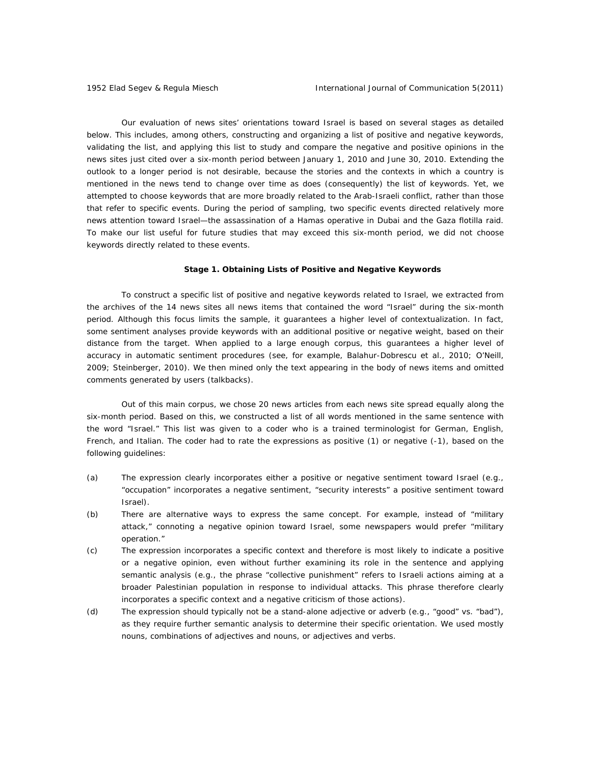Our evaluation of news sites' orientations toward Israel is based on several stages as detailed below. This includes, among others, constructing and organizing a list of positive and negative keywords, validating the list, and applying this list to study and compare the negative and positive opinions in the news sites just cited over a six-month period between January 1, 2010 and June 30, 2010. Extending the outlook to a longer period is not desirable, because the stories and the contexts in which a country is mentioned in the news tend to change over time as does (consequently) the list of keywords. Yet, we attempted to choose keywords that are more broadly related to the Arab-Israeli conflict, rather than those that refer to specific events. During the period of sampling, two specific events directed relatively more news attention toward Israel—the assassination of a Hamas operative in Dubai and the Gaza flotilla raid. To make our list useful for future studies that may exceed this six-month period, we did not choose keywords directly related to these events.

## **Stage 1. Obtaining Lists of Positive and Negative Keywords**

To construct a specific list of positive and negative keywords related to Israel, we extracted from the archives of the 14 news sites all news items that contained the word "Israel" during the six-month period. Although this focus limits the sample, it guarantees a higher level of contextualization. In fact, some sentiment analyses provide keywords with an additional positive or negative weight, based on their distance from the target. When applied to a large enough corpus, this guarantees a higher level of accuracy in automatic sentiment procedures (see, for example, Balahur-Dobrescu et al., 2010; O'Neill, 2009; Steinberger, 2010). We then mined only the text appearing in the body of news items and omitted comments generated by users (talkbacks).

Out of this main corpus, we chose 20 news articles from each news site spread equally along the six-month period. Based on this, we constructed a list of all words mentioned in the same sentence with the word "Israel." This list was given to a coder who is a trained terminologist for German, English, French, and Italian. The coder had to rate the expressions as positive (1) or negative (-1), based on the following guidelines:

- (a) The expression clearly incorporates either a positive or negative sentiment toward Israel (e.g., "occupation" incorporates a negative sentiment, "security interests" a positive sentiment toward Israel).
- (b) There are alternative ways to express the same concept. For example, instead of "military attack," connoting a negative opinion toward Israel, some newspapers would prefer "military operation."
- (c) The expression incorporates a specific context and therefore is most likely to indicate a positive or a negative opinion, even without further examining its role in the sentence and applying semantic analysis (e.g., the phrase "collective punishment" refers to Israeli actions aiming at a broader Palestinian population in response to individual attacks. This phrase therefore clearly incorporates a specific context and a negative criticism of those actions).
- (d) The expression should typically not be a stand-alone adjective or adverb (e.g., "good" vs. "bad"), as they require further semantic analysis to determine their specific orientation. We used mostly nouns, combinations of adjectives and nouns, or adjectives and verbs.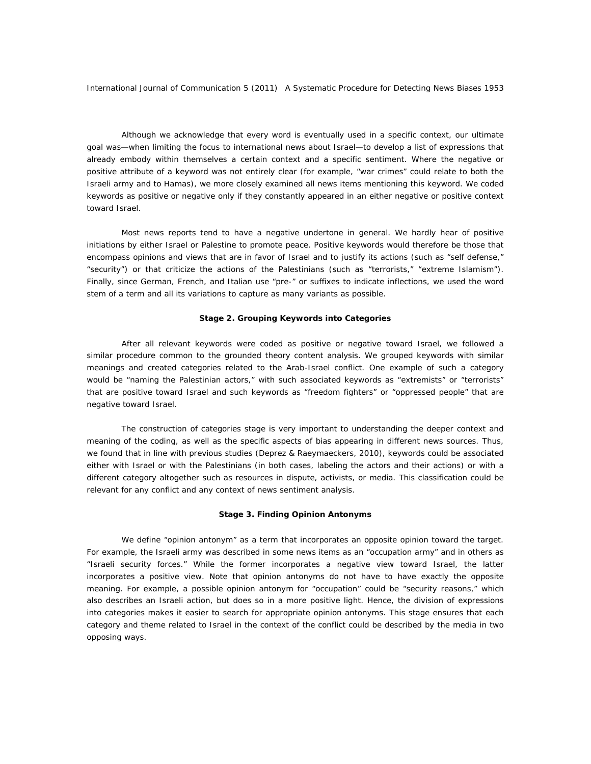Although we acknowledge that every word is eventually used in a specific context, our ultimate goal was—when limiting the focus to international news about Israel—to develop a list of expressions that already embody within themselves a certain context and a specific sentiment. Where the negative or positive attribute of a keyword was not entirely clear (for example, "war crimes" could relate to both the Israeli army and to Hamas), we more closely examined all news items mentioning this keyword. We coded keywords as positive or negative only if they constantly appeared in an either negative or positive context toward Israel.

Most news reports tend to have a negative undertone in general. We hardly hear of positive initiations by either Israel or Palestine to promote peace. Positive keywords would therefore be those that encompass opinions and views that are in favor of Israel and to justify its actions (such as "self defense," "security") or that criticize the actions of the Palestinians (such as "terrorists," "extreme Islamism"). Finally, since German, French, and Italian use "pre-" or suffixes to indicate inflections, we used the word stem of a term and all its variations to capture as many variants as possible.

## **Stage 2. Grouping Keywords into Categories**

After all relevant keywords were coded as positive or negative toward Israel, we followed a similar procedure common to the grounded theory content analysis. We grouped keywords with similar meanings and created categories related to the Arab-Israel conflict. One example of such a category would be "naming the Palestinian actors," with such associated keywords as "extremists" or "terrorists" that are positive toward Israel and such keywords as "freedom fighters" or "oppressed people" that are negative toward Israel.

The construction of categories stage is very important to understanding the deeper context and meaning of the coding, as well as the specific aspects of bias appearing in different news sources. Thus, we found that in line with previous studies (Deprez & Raeymaeckers, 2010), keywords could be associated either with Israel or with the Palestinians (in both cases, labeling the actors and their actions) or with a different category altogether such as resources in dispute, activists, or media. This classification could be relevant for any conflict and any context of news sentiment analysis.

## **Stage 3. Finding Opinion Antonyms**

We define "opinion antonym" as a term that incorporates an opposite opinion toward the target. For example, the Israeli army was described in some news items as an "occupation army" and in others as "Israeli security forces." While the former incorporates a negative view toward Israel, the latter incorporates a positive view. Note that opinion antonyms do not have to have exactly the opposite meaning. For example, a possible opinion antonym for "occupation" could be "security reasons," which also describes an Israeli action, but does so in a more positive light. Hence, the division of expressions into categories makes it easier to search for appropriate opinion antonyms. This stage ensures that each category and theme related to Israel in the context of the conflict could be described by the media in two opposing ways.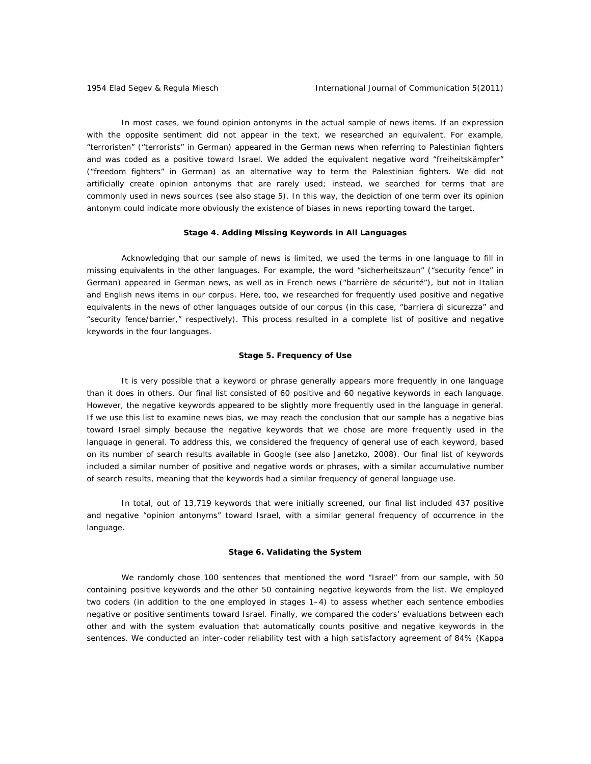In most cases, we found opinion antonyms in the actual sample of news items. If an expression with the opposite sentiment did not appear in the text, we researched an equivalent. For example, "terroristen" ("terrorists" in German) appeared in the German news when referring to Palestinian fighters and was coded as a positive toward Israel. We added the equivalent negative word "freiheitskämpfer" ("freedom fighters" in German) as an alternative way to term the Palestinian fighters. We did not artificially create opinion antonyms that are rarely used; instead, we searched for terms that are commonly used in news sources (see also stage 5). In this way, the depiction of one term over its opinion antonym could indicate more obviously the existence of biases in news reporting toward the target.

## **Stage 4. Adding Missing Keywords in All Languages**

Acknowledging that our sample of news is limited, we used the terms in one language to fill in missing equivalents in the other languages. For example, the word "sicherheitszaun" ("security fence" in German) appeared in German news, as well as in French news ("barrière de sécurité"), but not in Italian and English news items in our corpus. Here, too, we researched for frequently used positive and negative equivalents in the news of other languages outside of our corpus (in this case, "barriera di sicurezza" and "security fence/barrier," respectively). This process resulted in a complete list of positive and negative keywords in the four languages.

#### **Stage 5. Frequency of Use**

It is very possible that a keyword or phrase generally appears more frequently in one language than it does in others. Our final list consisted of 60 positive and 60 negative keywords in each language. However, the negative keywords appeared to be slightly more frequently used in the language in general. If we use this list to examine news bias, we may reach the conclusion that our sample has a negative bias toward Israel simply because the negative keywords that we chose are more frequently used in the language in general. To address this, we considered the frequency of general use of each keyword, based on its number of search results available in Google (see also Janetzko, 2008). Our final list of keywords included a similar number of positive and negative words or phrases, with a similar accumulative number of search results, meaning that the keywords had a similar frequency of general language use.

In total, out of 13,719 keywords that were initially screened, our final list included 437 positive and negative "opinion antonyms" toward Israel, with a similar general frequency of occurrence in the language.

#### **Stage 6. Validating the System**

We randomly chose 100 sentences that mentioned the word "Israel" from our sample, with 50 containing positive keywords and the other 50 containing negative keywords from the list. We employed two coders (in addition to the one employed in stages 1–4) to assess whether each sentence embodies negative or positive sentiments toward Israel. Finally, we compared the coders' evaluations between each other and with the system evaluation that automatically counts positive and negative keywords in the sentences. We conducted an inter-coder reliability test with a high satisfactory agreement of 84% (Kappa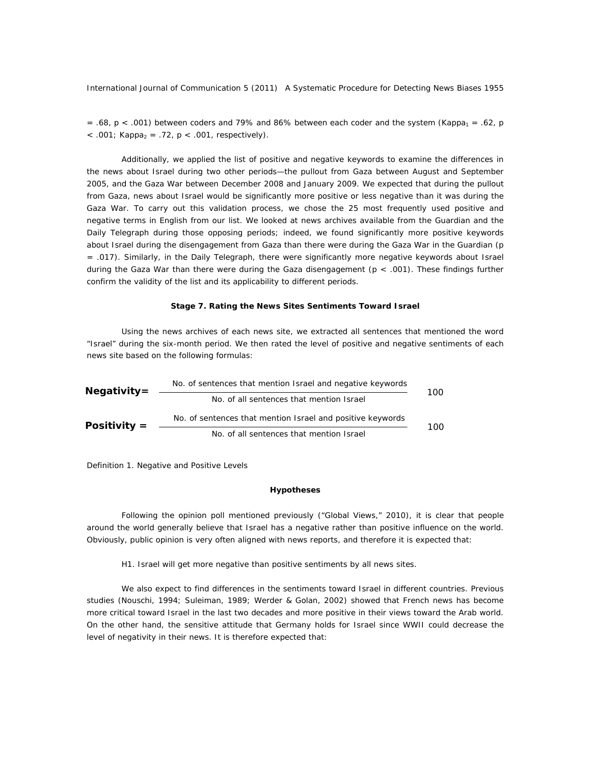= .68, p < .001) between coders and 79% and 86% between each coder and the system (Kappa<sub>1</sub> = .62, p  $\langle 0.001;$  Kappa<sub>2</sub> = .72, p  $\langle 0.001,$  respectively).

Additionally, we applied the list of positive and negative keywords to examine the differences in the news about Israel during two other periods—the pullout from Gaza between August and September 2005, and the Gaza War between December 2008 and January 2009. We expected that during the pullout from Gaza, news about Israel would be significantly more positive or less negative than it was during the Gaza War. To carry out this validation process, we chose the 25 most frequently used positive and negative terms in English from our list. We looked at news archives available from the *Guardian* and the *Daily Telegraph* during those opposing periods; indeed, we found significantly more positive keywords about Israel during the disengagement from Gaza than there were during the Gaza War in the *Guardian* (p = .017). Similarly, in the *Daily Telegraph*, there were significantly more negative keywords about Israel during the Gaza War than there were during the Gaza disengagement ( $p < .001$ ). These findings further confirm the validity of the list and its applicability to different periods.

#### **Stage 7. Rating the News Sites Sentiments Toward Israel**

Using the news archives of each news site, we extracted all sentences that mentioned the word "Israel" during the six-month period. We then rated the level of positive and negative sentiments of each news site based on the following formulas:

| $Negativity =$ | No. of sentences that mention Israel and negative keywords |  |  |  |  |
|----------------|------------------------------------------------------------|--|--|--|--|
|                | No. of all sentences that mention Israel                   |  |  |  |  |
| Positivity $=$ | No. of sentences that mention Israel and positive keywords |  |  |  |  |
|                | No. of all sentences that mention Israel                   |  |  |  |  |

*Definition 1*. Negative and Positive Levels

#### **Hypotheses**

Following the opinion poll mentioned previously ("Global Views," 2010), it is clear that people around the world generally believe that Israel has a negative rather than positive influence on the world. Obviously, public opinion is very often aligned with news reports, and therefore it is expected that:

#### *H1. Israel will get more negative than positive sentiments by all news sites.*

We also expect to find differences in the sentiments toward Israel in different countries. Previous studies (Nouschi, 1994; Suleiman, 1989; Werder & Golan, 2002) showed that French news has become more critical toward Israel in the last two decades and more positive in their views toward the Arab world. On the other hand, the sensitive attitude that Germany holds for Israel since WWII could decrease the level of negativity in their news. It is therefore expected that: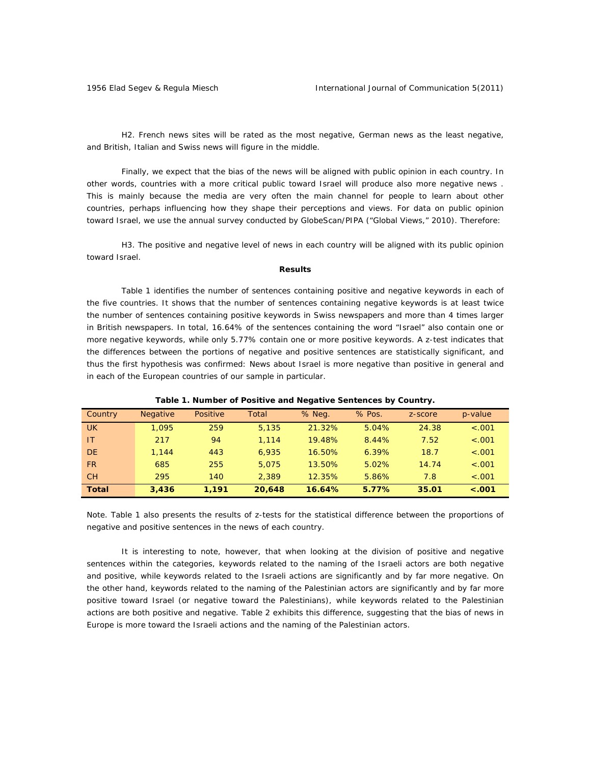*H2. French news sites will be rated as the most negative, German news as the least negative, and British, Italian and Swiss news will figure in the middle.* 

Finally, we expect that the bias of the news will be aligned with public opinion in each country. In other words, countries with a more critical public toward Israel will produce also more negative news . This is mainly because the media are very often the main channel for people to learn about other countries, perhaps influencing how they shape their perceptions and views. For data on public opinion toward Israel, we use the annual survey conducted by GlobeScan/PIPA ("Global Views," 2010). Therefore:

H3. The positive and negative level of news in each country will be aligned with its public opinion *toward Israel.*

#### **Results**

Table 1 identifies the number of sentences containing positive and negative keywords in each of the five countries. It shows that the number of sentences containing negative keywords is at least twice the number of sentences containing positive keywords in Swiss newspapers and more than 4 times larger in British newspapers. In total, 16.64% of the sentences containing the word "Israel" also contain one or more negative keywords, while only 5.77% contain one or more positive keywords. A z-test indicates that the differences between the portions of negative and positive sentences are statistically significant, and thus the first hypothesis was confirmed: News about Israel is more negative than positive in general and in each of the European countries of our sample in particular.

| Country      | <b>Negative</b> | Positive | Total  | % Neg. | % Pos. | z-score | p-value |
|--------------|-----------------|----------|--------|--------|--------|---------|---------|
| <b>UK</b>    | 1.095           | 259      | 5.135  | 21.32% | 5.04%  | 24.38   | < .001  |
| IT           | 217             | 94       | 1.114  | 19.48% | 8.44%  | 7.52    | < .001  |
| <b>DE</b>    | 1.144           | 443      | 6.935  | 16.50% | 6.39%  | 18.7    | < .001  |
| <b>FR</b>    | 685             | 255      | 5.075  | 13.50% | 5.02%  | 14.74   | $-.001$ |
| <b>CH</b>    | 295             | 140      | 2.389  | 12.35% | 5.86%  | 7.8     | < .001  |
| <b>Total</b> | 3,436           | 1.191    | 20,648 | 16.64% | 5.77%  | 35.01   | $-.001$ |

*Table 1. Number of Positive and Negative Sentences by Country.* 

*Note*. Table 1 also presents the results of z-tests for the statistical difference between the proportions of negative and positive sentences in the news of each country.

It is interesting to note, however, that when looking at the division of positive and negative sentences within the categories, keywords related to the naming of the Israeli actors are both negative and positive, while keywords related to the Israeli actions are significantly and by far more negative. On the other hand, keywords related to the naming of the Palestinian actors are significantly and by far more positive toward Israel (or negative toward the Palestinians), while keywords related to the Palestinian actions are both positive and negative. Table 2 exhibits this difference, suggesting that the bias of news in Europe is more toward the Israeli actions and the naming of the Palestinian actors.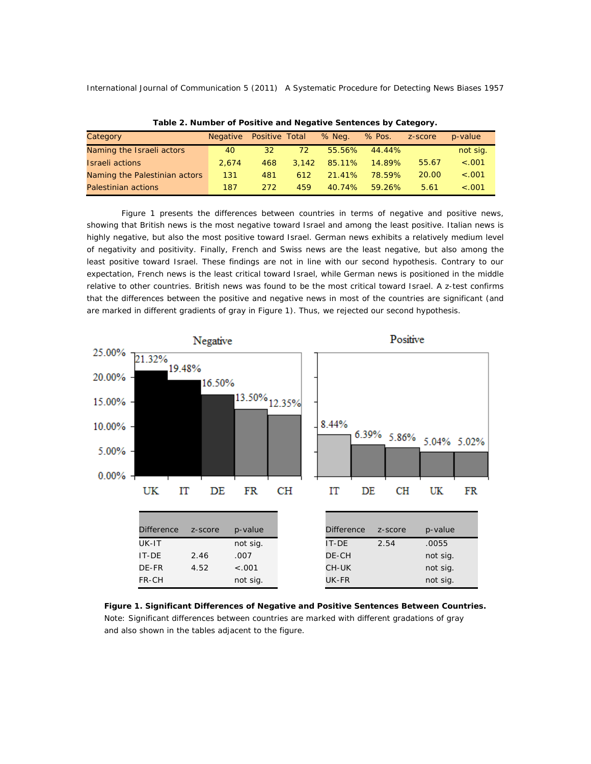| $1800$ $\pm 1000$ $\pm 000$ $\pm 000$ $\pm 000$ $\pm 000$ $\pm 000$ $\pm 000$ $\pm 000$ $\pm 000$ |          |                       |     |              |        |         |          |
|---------------------------------------------------------------------------------------------------|----------|-----------------------|-----|--------------|--------|---------|----------|
| Category                                                                                          | Negative | <b>Positive Total</b> |     | % Neg.       | % Pos. | z-score | p-value  |
| Naming the Israeli actors                                                                         | 40       | 32                    | 72  | 55.56%       | 44.44% |         | not sig. |
| <b>Israeli</b> actions                                                                            | 2.674    | 468                   |     | 3.142 85.11% | 14.89% | 55.67   | $-.001$  |
| Naming the Palestinian actors                                                                     | 131      | 481                   | 612 | 21.41%       | 78.59% | 20.00   | $-.001$  |
| Palestinian actions                                                                               | 187      | 272                   | 459 | 40.74%       | 59.26% | 5.61    | $-.001$  |

*Table 2. Number of Positive and Negative Sentences by Category.* 

Figure 1 presents the differences between countries in terms of negative and positive news, showing that British news is the most negative toward Israel and among the least positive. Italian news is highly negative, but also the most positive toward Israel. German news exhibits a relatively medium level of negativity and positivity. Finally, French and Swiss news are the least negative, but also among the least positive toward Israel. These findings are not in line with our second hypothesis. Contrary to our expectation, French news is the least critical toward Israel, while German news is positioned in the middle relative to other countries. British news was found to be the most critical toward Israel. A z-test confirms that the differences between the positive and negative news in most of the countries are significant (and are marked in different gradients of gray in Figure 1). Thus, we rejected our second hypothesis.



*Figure 1. Significant Differences of Negative and Positive Sentences Between Countries.*  Note: Significant differences between countries are marked with different gradations of gray and also shown in the tables adjacent to the figure.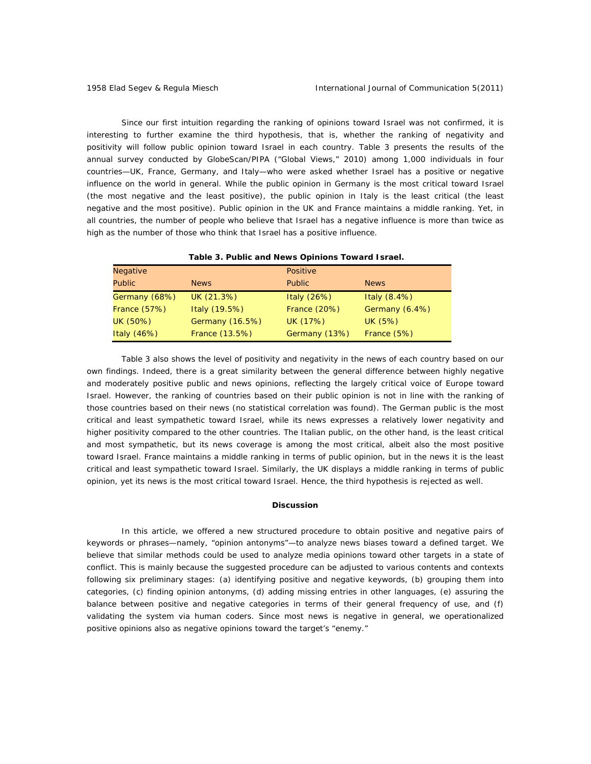Since our first intuition regarding the ranking of opinions toward Israel was not confirmed, it is interesting to further examine the third hypothesis, that is, whether the ranking of negativity and positivity will follow public opinion toward Israel in each country. Table 3 presents the results of the annual survey conducted by GlobeScan/PIPA ("Global Views," 2010) among 1,000 individuals in four countries—UK, France, Germany, and Italy—who were asked whether Israel has a positive or negative influence on the world in general. While the public opinion in Germany is the most critical toward Israel (the most negative and the least positive), the public opinion in Italy is the least critical (the least negative and the most positive). Public opinion in the UK and France maintains a middle ranking. Yet, in all countries, the number of people who believe that Israel has a negative influence is more than twice as high as the number of those who think that Israel has a positive influence.

| Table 3. Public and News Opinions Toward Israel. |                 |                     |                |  |  |
|--------------------------------------------------|-----------------|---------------------|----------------|--|--|
| <b>Negative</b>                                  |                 | Positive            |                |  |  |
| <b>Public</b>                                    | <b>News</b>     | <b>Public</b>       | <b>News</b>    |  |  |
| Germany (68%)                                    | UK (21.3%)      | Italy (26%)         | Italy $(8.4%)$ |  |  |
| <b>France (57%)</b>                              | Italy (19.5%)   | <b>France (20%)</b> | Germany (6.4%) |  |  |
| UK (50%)                                         | Germany (16.5%) | UK (17%)            | UK (5%)        |  |  |
| Italy $(46%)$                                    | France (13.5%)  | Germany (13%)       | France (5%)    |  |  |

 *Table 3. Public and News Opinions Toward Israel.* 

Table 3 also shows the level of positivity and negativity in the news of each country based on our own findings. Indeed, there is a great similarity between the general difference between highly negative and moderately positive public and news opinions, reflecting the largely critical voice of Europe toward Israel. However, the ranking of countries based on their public opinion is not in line with the ranking of those countries based on their news (no statistical correlation was found). The German public is the most critical and least sympathetic toward Israel, while its news expresses a relatively lower negativity and higher positivity compared to the other countries. The Italian public, on the other hand, is the least critical and most sympathetic, but its news coverage is among the most critical, albeit also the most positive toward Israel. France maintains a middle ranking in terms of public opinion, but in the news it is the least critical and least sympathetic toward Israel. Similarly, the UK displays a middle ranking in terms of public opinion, yet its news is the most critical toward Israel. Hence, the third hypothesis is rejected as well.

#### **Discussion**

In this article, we offered a new structured procedure to obtain positive and negative pairs of keywords or phrases—namely, "opinion antonyms"—to analyze news biases toward a defined target. We believe that similar methods could be used to analyze media opinions toward other targets in a state of conflict. This is mainly because the suggested procedure can be adjusted to various contents and contexts following six preliminary stages: (a) identifying positive and negative keywords, (b) grouping them into categories, (c) finding opinion antonyms, (d) adding missing entries in other languages, (e) assuring the balance between positive and negative categories in terms of their general frequency of use, and (f) validating the system via human coders. Since most news is negative in general, we operationalized positive opinions also as negative opinions toward the target's "enemy."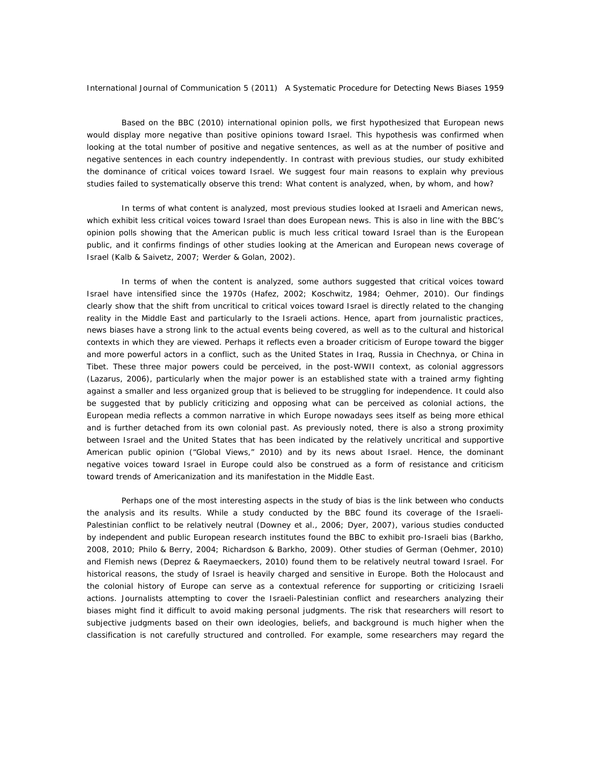Based on the BBC (2010) international opinion polls, we first hypothesized that European news would display more negative than positive opinions toward Israel. This hypothesis was confirmed when looking at the total number of positive and negative sentences, as well as at the number of positive and negative sentences in each country independently. In contrast with previous studies, our study exhibited the dominance of critical voices toward Israel. We suggest four main reasons to explain why previous studies failed to systematically observe this trend: What content is analyzed, when, by whom, and how?

In terms of what content is analyzed, most previous studies looked at Israeli and American news, which exhibit less critical voices toward Israel than does European news. This is also in line with the BBC's opinion polls showing that the American public is much less critical toward Israel than is the European public, and it confirms findings of other studies looking at the American and European news coverage of Israel (Kalb & Saivetz, 2007; Werder & Golan, 2002).

In terms of when the content is analyzed, some authors suggested that critical voices toward Israel have intensified since the 1970s (Hafez, 2002; Koschwitz, 1984; Oehmer, 2010). Our findings clearly show that the shift from uncritical to critical voices toward Israel is directly related to the changing reality in the Middle East and particularly to the Israeli actions. Hence, apart from journalistic practices, news biases have a strong link to the actual events being covered, as well as to the cultural and historical contexts in which they are viewed. Perhaps it reflects even a broader criticism of Europe toward the bigger and more powerful actors in a conflict, such as the United States in Iraq, Russia in Chechnya, or China in Tibet. These three major powers could be perceived, in the post-WWII context, as colonial aggressors (Lazarus, 2006), particularly when the major power is an established state with a trained army fighting against a smaller and less organized group that is believed to be struggling for independence. It could also be suggested that by publicly criticizing and opposing what can be perceived as colonial actions, the European media reflects a common narrative in which Europe nowadays sees itself as being more ethical and is further detached from its own colonial past. As previously noted, there is also a strong proximity between Israel and the United States that has been indicated by the relatively uncritical and supportive American public opinion ("Global Views," 2010) and by its news about Israel. Hence, the dominant negative voices toward Israel in Europe could also be construed as a form of resistance and criticism toward trends of Americanization and its manifestation in the Middle East.

Perhaps one of the most interesting aspects in the study of bias is the link between who conducts the analysis and its results. While a study conducted by the BBC found its coverage of the Israeli-Palestinian conflict to be relatively neutral (Downey et al., 2006; Dyer, 2007), various studies conducted by independent and public European research institutes found the BBC to exhibit pro-Israeli bias (Barkho, 2008, 2010; Philo & Berry, 2004; Richardson & Barkho, 2009). Other studies of German (Oehmer, 2010) and Flemish news (Deprez & Raeymaeckers, 2010) found them to be relatively neutral toward Israel. For historical reasons, the study of Israel is heavily charged and sensitive in Europe. Both the Holocaust and the colonial history of Europe can serve as a contextual reference for supporting or criticizing Israeli actions. Journalists attempting to cover the Israeli-Palestinian conflict and researchers analyzing their biases might find it difficult to avoid making personal judgments. The risk that researchers will resort to subjective judgments based on their own ideologies, beliefs, and background is much higher when the classification is not carefully structured and controlled. For example, some researchers may regard the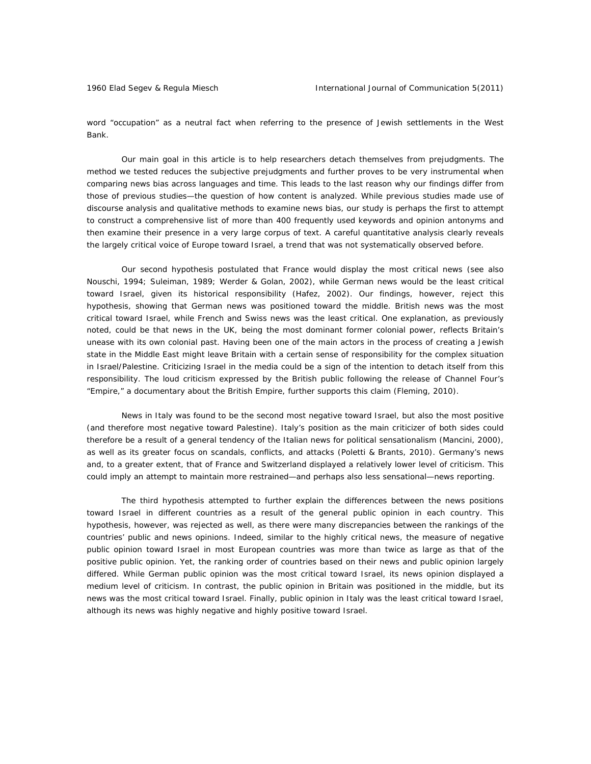word "occupation" as a neutral fact when referring to the presence of Jewish settlements in the West Bank.

Our main goal in this article is to help researchers detach themselves from prejudgments. The method we tested reduces the subjective prejudgments and further proves to be very instrumental when comparing news bias across languages and time. This leads to the last reason why our findings differ from those of previous studies—the question of how content is analyzed. While previous studies made use of discourse analysis and qualitative methods to examine news bias, our study is perhaps the first to attempt to construct a comprehensive list of more than 400 frequently used keywords and opinion antonyms and then examine their presence in a very large corpus of text. A careful quantitative analysis clearly reveals the largely critical voice of Europe toward Israel, a trend that was not systematically observed before.

Our second hypothesis postulated that France would display the most critical news (see also Nouschi, 1994; Suleiman, 1989; Werder & Golan, 2002), while German news would be the least critical toward Israel, given its historical responsibility (Hafez, 2002). Our findings, however, reject this hypothesis, showing that German news was positioned toward the middle. British news was the most critical toward Israel, while French and Swiss news was the least critical. One explanation, as previously noted, could be that news in the UK, being the most dominant former colonial power, reflects Britain's unease with its own colonial past. Having been one of the main actors in the process of creating a Jewish state in the Middle East might leave Britain with a certain sense of responsibility for the complex situation in Israel/Palestine. Criticizing Israel in the media could be a sign of the intention to detach itself from this responsibility. The loud criticism expressed by the British public following the release of Channel Four's "Empire," a documentary about the British Empire, further supports this claim (Fleming, 2010).

News in Italy was found to be the second most negative toward Israel, but also the most positive (and therefore most negative toward Palestine). Italy's position as the main criticizer of both sides could therefore be a result of a general tendency of the Italian news for political sensationalism (Mancini, 2000), as well as its greater focus on scandals, conflicts, and attacks (Poletti & Brants, 2010). Germany's news and, to a greater extent, that of France and Switzerland displayed a relatively lower level of criticism. This could imply an attempt to maintain more restrained—and perhaps also less sensational—news reporting.

The third hypothesis attempted to further explain the differences between the news positions toward Israel in different countries as a result of the general public opinion in each country. This hypothesis, however, was rejected as well, as there were many discrepancies between the rankings of the countries' public and news opinions. Indeed, similar to the highly critical news, the measure of negative public opinion toward Israel in most European countries was more than twice as large as that of the positive public opinion. Yet, the ranking order of countries based on their news and public opinion largely differed. While German public opinion was the most critical toward Israel, its news opinion displayed a medium level of criticism. In contrast, the public opinion in Britain was positioned in the middle, but its news was the most critical toward Israel. Finally, public opinion in Italy was the least critical toward Israel, although its news was highly negative and highly positive toward Israel.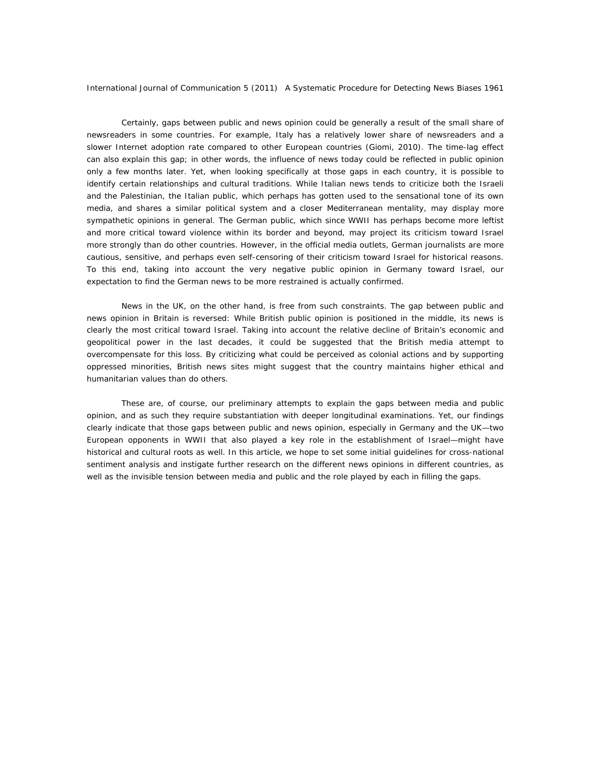Certainly, gaps between public and news opinion could be generally a result of the small share of newsreaders in some countries. For example, Italy has a relatively lower share of newsreaders and a slower Internet adoption rate compared to other European countries (Giomi, 2010). The time-lag effect can also explain this gap; in other words, the influence of news today could be reflected in public opinion only a few months later. Yet, when looking specifically at those gaps in each country, it is possible to identify certain relationships and cultural traditions. While Italian news tends to criticize both the Israeli and the Palestinian, the Italian public, which perhaps has gotten used to the sensational tone of its own media, and shares a similar political system and a closer Mediterranean mentality, may display more sympathetic opinions in general. The German public, which since WWII has perhaps become more leftist and more critical toward violence within its border and beyond, may project its criticism toward Israel more strongly than do other countries. However, in the official media outlets, German journalists are more cautious, sensitive, and perhaps even self-censoring of their criticism toward Israel for historical reasons. To this end, taking into account the very negative public opinion in Germany toward Israel, our expectation to find the German news to be more restrained is actually confirmed.

News in the UK, on the other hand, is free from such constraints. The gap between public and news opinion in Britain is reversed: While British public opinion is positioned in the middle, its news is clearly the most critical toward Israel. Taking into account the relative decline of Britain's economic and geopolitical power in the last decades, it could be suggested that the British media attempt to overcompensate for this loss. By criticizing what could be perceived as colonial actions and by supporting oppressed minorities, British news sites might suggest that the country maintains higher ethical and humanitarian values than do others.

These are, of course, our preliminary attempts to explain the gaps between media and public opinion, and as such they require substantiation with deeper longitudinal examinations. Yet, our findings clearly indicate that those gaps between public and news opinion, especially in Germany and the UK—two European opponents in WWII that also played a key role in the establishment of Israel—might have historical and cultural roots as well. In this article, we hope to set some initial guidelines for cross-national sentiment analysis and instigate further research on the different news opinions in different countries, as well as the invisible tension between media and public and the role played by each in filling the gaps.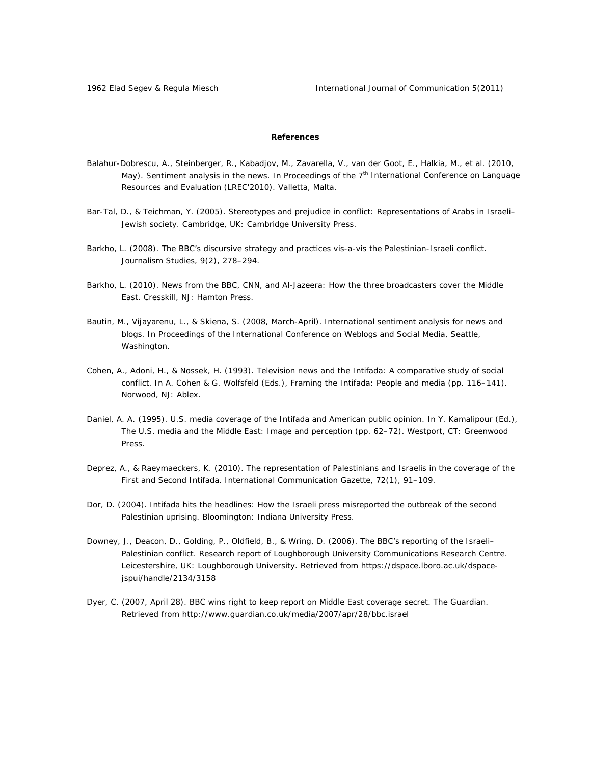#### **References**

- Balahur-Dobrescu, A., Steinberger, R., Kabadjov, M., Zavarella, V., van der Goot, E., Halkia, M., et al. (2010, May). *Sentiment analysis in the news*. In Proceedings of the 7<sup>th</sup> International Conference on Language Resources and Evaluation (LREC'2010). Valletta, Malta.
- Bar-Tal, D., & Teichman, Y. (2005). *Stereotypes and prejudice in conflict: Representations of Arabs in Israeli– Jewish society*. Cambridge, UK: Cambridge University Press.
- Barkho, L. (2008). The BBC's discursive strategy and practices vis-a-vis the Palestinian-Israeli conflict. *Journalism Studies*, *9*(2), 278–294.
- Barkho, L. (2010). *News from the BBC, CNN, and Al-Jazeera: How the three broadcasters cover the Middle East*. Cresskill, NJ: Hamton Press.
- Bautin, M., Vijayarenu, L., & Skiena, S. (2008, March-April). *International sentiment analysis for news and blogs*. In Proceedings of the International Conference on Weblogs and Social Media, Seattle, Washington.
- Cohen, A., Adoni, H., & Nossek, H. (1993). Television news and the Intifada: A comparative study of social conflict. In A. Cohen & G. Wolfsfeld (Eds.), *Framing the Intifada: People and media* (pp. 116–141). Norwood, NJ: Ablex.
- Daniel, A. A. (1995). U.S. media coverage of the Intifada and American public opinion. In Y. Kamalipour (Ed.), The U.S. media and the Middle East: Image and perception (pp. 62-72). Westport, CT: Greenwood Press.
- Deprez, A., & Raeymaeckers, K. (2010). The representation of Palestinians and Israelis in the coverage of the First and Second Intifada. *International Communication Gazette*, *72*(1), 91–109.
- Dor, D. (2004). *Intifada hits the headlines: How the Israeli press misreported the outbreak of the second Palestinian uprising*. Bloomington: Indiana University Press.
- Downey, J., Deacon, D., Golding, P., Oldfield, B., & Wring, D. (2006). *The BBC's reporting of the Israeli– Palestinian conflict*. Research report of Loughborough University Communications Research Centre. Leicestershire, UK: Loughborough University. Retrieved from https://dspace.lboro.ac.uk/dspacejspui/handle/2134/3158
- Dyer, C. (2007, April 28). BBC wins right to keep report on Middle East coverage secret. *The Guardian*. Retrieved from http://www.guardian.co.uk/media/2007/apr/28/bbc.israel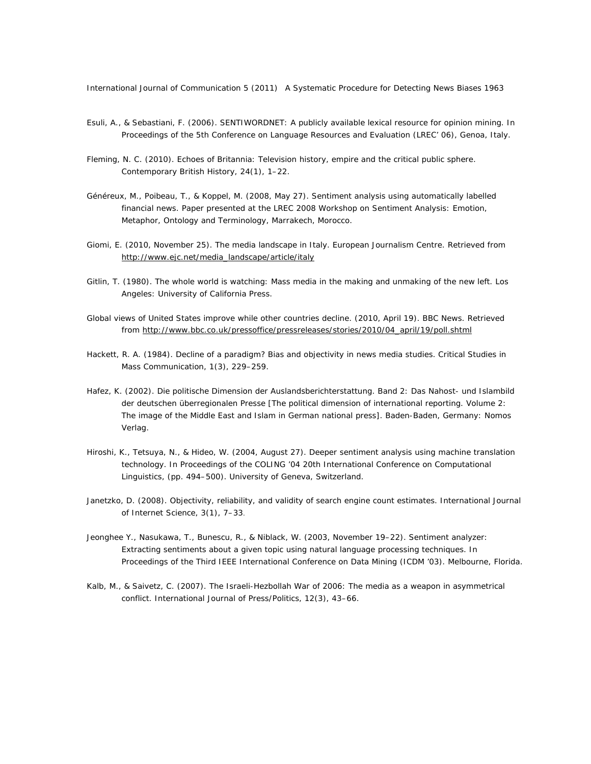- Esuli, A., & Sebastiani, F. (2006). *SENTIWORDNET: A publicly available lexical resource for opinion mining*. In Proceedings of the 5th Conference on Language Resources and Evaluation (LREC' 06), Genoa, Italy.
- Fleming, N. C. (2010). Echoes of Britannia: Television history, empire and the critical public sphere. *Contemporary British History*, *24*(1), 1–22.
- Généreux, M., Poibeau, T., & Koppel, M. (2008, May 27). *Sentiment analysis using automatically labelled financial news.* Paper presented at the LREC 2008 Workshop on Sentiment Analysis: Emotion, Metaphor, Ontology and Terminology, Marrakech, Morocco.
- Giomi, E. (2010, November 25). The media landscape in Italy. *European Journalism Centre*. Retrieved from http://www.ejc.net/media\_landscape/article/italy
- Gitlin, T. (1980). *The whole world is watching: Mass media in the making and unmaking of the new left*. Los Angeles: University of California Press.
- Global views of United States improve while other countries decline. (2010, April 19). BBC News. Retrieved from http://www.bbc.co.uk/pressoffice/pressreleases/stories/2010/04\_april/19/poll.shtml
- Hackett, R. A. (1984). Decline of a paradigm? Bias and objectivity in news media studies. *Critical Studies in Mass Communication*, *1*(3), 229–259.
- Hafez, K. (2002). *Die politische Dimension der Auslandsberichterstattung. Band 2: Das Nahost- und Islambild der deutschen überregionalen Presse* [The political dimension of international reporting. Volume 2: The image of the Middle East and Islam in German national press]. Baden-Baden, Germany: Nomos Verlag.
- Hiroshi, K., Tetsuya, N., & Hideo, W. (2004, August 27). *Deeper sentiment analysis using machine translation technology*. In Proceedings of the COLING '04 20th International Conference on Computational Linguistics, (pp. 494–500). University of Geneva, Switzerland.
- Janetzko, D. (2008). Objectivity, reliability, and validity of search engine count estimates. *International Journal of Internet Science*, *3*(1), 7–33.
- Jeonghee Y., Nasukawa, T., Bunescu, R., & Niblack, W. (2003, November 19–22). *Sentiment analyzer: Extracting sentiments about a given topic using natural language processing techniques*. In Proceedings of the Third IEEE International Conference on Data Mining (ICDM '03). Melbourne, Florida.
- Kalb, M., & Saivetz, C. (2007). The Israeli-Hezbollah War of 2006: The media as a weapon in asymmetrical conflict. *International Journal of Press/Politics*, *12*(3), 43–66.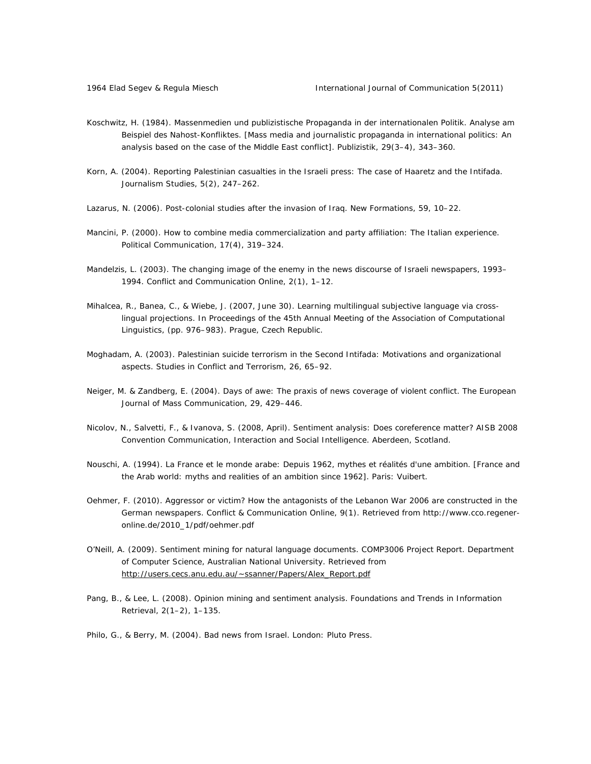- Koschwitz, H. (1984). Massenmedien und publizistische Propaganda in der internationalen Politik. Analyse am Beispiel des Nahost-Konfliktes. [Mass media and journalistic propaganda in international politics: An analysis based on the case of the Middle East conflict]. *Publizistik*, *29*(3–4), 343–360.
- Korn, A. (2004). Reporting Palestinian casualties in the Israeli press: The case of Haaretz and the Intifada. *Journalism Studies*, *5*(2), 247–262.
- Lazarus, N. (2006). Post-colonial studies after the invasion of Iraq. *New Formations*, *59*, 10–22.
- Mancini, P. (2000). How to combine media commercialization and party affiliation: The Italian experience. *Political Communication*, *17*(4), 319–324.
- Mandelzis, L. (2003). The changing image of the enemy in the news discourse of Israeli newspapers, 1993– 1994. *Conflict and Communication Online*, *2*(1), 1–12.
- Mihalcea, R., Banea, C., & Wiebe, J. (2007, June 30). *Learning multilingual subjective language via crosslingual projections*. In Proceedings of the 45th Annual Meeting of the Association of Computational Linguistics, (pp. 976–983). Prague, Czech Republic.
- Moghadam, A. (2003). Palestinian suicide terrorism in the Second Intifada: Motivations and organizational aspects. *Studies in Conflict and Terrorism*, *26*, 65–92.
- Neiger, M. & Zandberg, E. (2004). Days of awe: The praxis of news coverage of violent conflict. *The European Journal of Mass Communication*, *29*, 429–446.
- Nicolov, N., Salvetti, F., & Ivanova, S. (2008, April). *Sentiment analysis: Does coreference matter?* AISB 2008 Convention Communication, Interaction and Social Intelligence. Aberdeen, Scotland.
- Nouschi, A. (1994). *La France et le monde arabe: Depuis 1962, mythes et réalités d'une ambition*. [France and the Arab world: myths and realities of an ambition since 1962]. Paris: Vuibert.
- Oehmer, F. (2010). Aggressor or victim? How the antagonists of the Lebanon War 2006 are constructed in the German newspapers. *Conflict & Communication Online*, *9*(1). Retrieved from http://www.cco.regeneronline.de/2010\_1/pdf/oehmer.pdf
- O'Neill, A. (2009). *Sentiment mining for natural language documents*. COMP3006 Project Report. Department of Computer Science, Australian National University. Retrieved from http://users.cecs.anu.edu.au/~ssanner/Papers/Alex\_Report.pdf
- Pang, B., & Lee, L. (2008). Opinion mining and sentiment analysis. *Foundations and Trends in Information Retrieval*, *2*(1–2), 1–135.
- Philo, G., & Berry, M. (2004). *Bad news from Israel*. London: Pluto Press.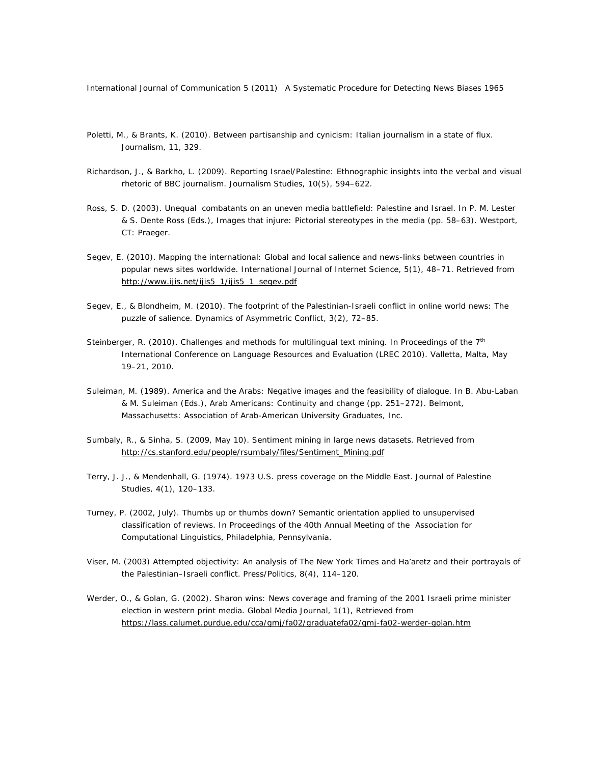- Poletti, M., & Brants, K. (2010). Between partisanship and cynicism: Italian journalism in a state of flux. *Journalism*, *11*, 329.
- Richardson, J., & Barkho, L. (2009). Reporting Israel/Palestine: Ethnographic insights into the verbal and visual rhetoric of BBC journalism. *Journalism Studies*, *10*(5), 594–622.
- Ross, S. D. (2003). Unequal combatants on an uneven media battlefield: Palestine and Israel. In P. M. Lester & S. Dente Ross (Eds.), *Images that injure: Pictorial stereotypes in the media* (pp. 58–63). Westport, CT: Praeger.
- Segev, E. (2010). Mapping the international: Global and local salience and news-links between countries in popular news sites worldwide. *International Journal of Internet Science*, *5*(1), 48–71. Retrieved from http://www.ijis.net/ijis5\_1/ijis5\_1\_segev.pdf
- Segev, E., & Blondheim, M. (2010). The footprint of the Palestinian-Israeli conflict in online world news: The puzzle of salience. *Dynamics of Asymmetric Conflict*, *3*(2), 72–85.
- Steinberger, R. (2010). Challenges and methods for multilingual text mining. In *Proceedings of the 7th International Conference on Language Resources and Evaluation (LREC 2010)*. Valletta, Malta, May 19–21, 2010.
- Suleiman, M. (1989). America and the Arabs: Negative images and the feasibility of dialogue. In B. Abu-Laban & M. Suleiman (Eds.), *Arab Americans: Continuity and change* (pp. 251–272). Belmont, Massachusetts: Association of Arab-American University Graduates, Inc.
- Sumbaly, R., & Sinha, S. (2009, May 10). *Sentiment mining in large news datasets*. Retrieved from http://cs.stanford.edu/people/rsumbaly/files/Sentiment\_Mining.pdf
- Terry, J. J., & Mendenhall, G. (1974). 1973 U.S. press coverage on the Middle East. *Journal of Palestine Studies*, *4*(1), 120–133.
- Turney, P. (2002, July*). Thumbs up or thumbs down? Semantic orientation applied to unsupervised classification of reviews*. In Proceedings of the 40th Annual Meeting of the Association for Computational Linguistics, Philadelphia, Pennsylvania.
- Viser, M. (2003) Attempted objectivity: An analysis of *The New York Times* and Ha'aretz and their portrayals of the Palestinian–Israeli conflict. *Press/Politics*, *8*(4), 114–120.
- Werder, O., & Golan, G. (2002). Sharon wins: News coverage and framing of the 2001 Israeli prime minister election in western print media. *Global Media Journal*, *1*(1), Retrieved from https://lass.calumet.purdue.edu/cca/gmj/fa02/graduatefa02/gmj-fa02-werder-golan.htm